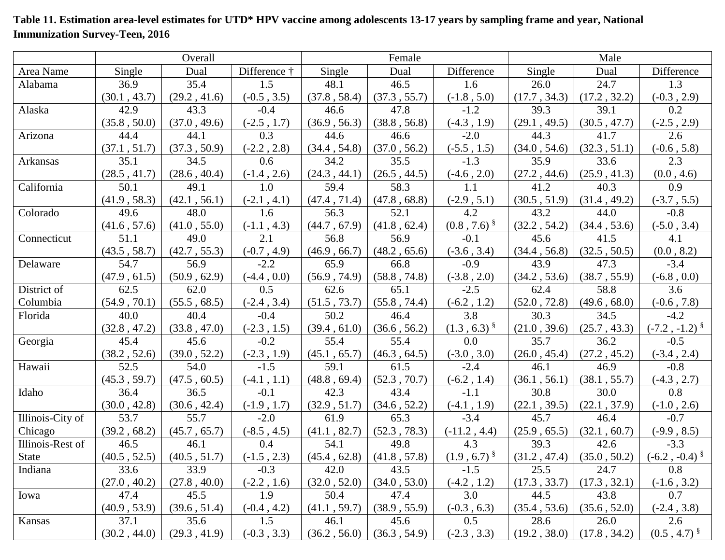## **Table 11. Estimation area-level estimates for UTD\* HPV vaccine among adolescents 13-17 years by sampling frame and year, National Immunization Survey-Teen, 2016**

|                  | Overall      |              |               | Female       |              |                  | Male         |              |                            |
|------------------|--------------|--------------|---------------|--------------|--------------|------------------|--------------|--------------|----------------------------|
| Area Name        | Single       | Dual         | Difference †  | Single       | Dual         | Difference       | Single       | Dual         | Difference                 |
| Alabama          | 36.9         | 35.4         | 1.5           | 48.1         | 46.5         | 1.6              | 26.0         | 24.7         | 1.3                        |
|                  | (30.1, 43.7) | (29.2, 41.6) | $(-0.5, 3.5)$ | (37.8, 58.4) | (37.3, 55.7) | $(-1.8, 5.0)$    | (17.7, 34.3) | (17.2, 32.2) | $(-0.3, 2.9)$              |
| Alaska           | 42.9         | 43.3         | $-0.4$        | 46.6         | 47.8         | $-1.2$           | 39.3         | 39.1         | 0.2                        |
|                  | (35.8, 50.0) | (37.0, 49.6) | $(-2.5, 1.7)$ | (36.9, 56.3) | (38.8, 56.8) | $(-4.3, 1.9)$    | (29.1, 49.5) | (30.5, 47.7) | $(-2.5, 2.9)$              |
| Arizona          | 44.4         | 44.1         | 0.3           | 44.6         | 46.6         | $-2.0$           | 44.3         | 41.7         | 2.6                        |
|                  | (37.1, 51.7) | (37.3, 50.9) | $(-2.2, 2.8)$ | (34.4, 54.8) | (37.0, 56.2) | $(-5.5, 1.5)$    | (34.0, 54.6) | (32.3, 51.1) | $(-0.6, 5.8)$              |
| Arkansas         | 35.1         | 34.5         | 0.6           | 34.2         | 35.5         | $-1.3$           | 35.9         | 33.6         | 2.3                        |
|                  | (28.5, 41.7) | (28.6, 40.4) | $(-1.4, 2.6)$ | (24.3, 44.1) | (26.5, 44.5) | $(-4.6, 2.0)$    | (27.2, 44.6) | (25.9, 41.3) | (0.0, 4.6)                 |
| California       | 50.1         | 49.1         | 1.0           | 59.4         | 58.3         | 1.1              | 41.2         | 40.3         | 0.9                        |
|                  | (41.9, 58.3) | (42.1, 56.1) | $(-2.1, 4.1)$ | (47.4, 71.4) | (47.8, 68.8) | $(-2.9, 5.1)$    | (30.5, 51.9) | (31.4, 49.2) | $(-3.7, 5.5)$              |
| Colorado         | 49.6         | 48.0         | 1.6           | 56.3         | 52.1         | 4.2              | 43.2         | 44.0         | $-0.8$                     |
|                  | (41.6, 57.6) | (41.0, 55.0) | $(-1.1, 4.3)$ | (44.7, 67.9) | (41.8, 62.4) | $(0.8, 7.6)^{8}$ | (32.2, 54.2) | (34.4, 53.6) | $(-5.0, 3.4)$              |
| Connecticut      | 51.1         | 49.0         | 2.1           | 56.8         | 56.9         | $-0.1$           | 45.6         | 41.5         | 4.1                        |
|                  | (43.5, 58.7) | (42.7, 55.3) | $(-0.7, 4.9)$ | (46.9, 66.7) | (48.2, 65.6) | $(-3.6, 3.4)$    | (34.4, 56.8) | (32.5, 50.5) | (0.0, 8.2)                 |
| Delaware         | 54.7         | 56.9         | $-2.2$        | 65.9         | 66.8         | $-0.9$           | 43.9         | 47.3         | $-3.4$                     |
|                  | (47.9, 61.5) | (50.9, 62.9) | $(-4.4, 0.0)$ | (56.9, 74.9) | (58.8, 74.8) | $(-3.8, 2.0)$    | (34.2, 53.6) | (38.7, 55.9) | $(-6.8, 0.0)$              |
| District of      | 62.5         | 62.0         | 0.5           | 62.6         | 65.1         | $-2.5$           | 62.4         | 58.8         | 3.6                        |
| Columbia         | (54.9, 70.1) | (55.5, 68.5) | $(-2.4, 3.4)$ | (51.5, 73.7) | (55.8, 74.4) | $(-6.2, 1.2)$    | (52.0, 72.8) | (49.6, 68.0) | $(-0.6, 7.8)$              |
| Florida          | 40.0         | 40.4         | $-0.4$        | 50.2         | 46.4         | 3.8              | 30.3         | 34.5         | $-4.2$                     |
|                  | (32.8, 47.2) | (33.8, 47.0) | $(-2.3, 1.5)$ | (39.4, 61.0) | (36.6, 56.2) | $(1.3, 6.3)^{8}$ | (21.0, 39.6) | (25.7, 43.3) | $(-7.2, -1.2)^{8}$         |
| Georgia          | 45.4         | 45.6         | $-0.2$        | 55.4         | 55.4         | 0.0              | 35.7         | 36.2         | $-0.5$                     |
|                  | (38.2, 52.6) | (39.0, 52.2) | $(-2.3, 1.9)$ | (45.1, 65.7) | (46.3, 64.5) | $(-3.0, 3.0)$    | (26.0, 45.4) | (27.2, 45.2) | $(-3.4, 2.4)$              |
| Hawaii           | 52.5         | 54.0         | $-1.5$        | 59.1         | 61.5         | $-2.4$           | 46.1         | 46.9         | $-0.8$                     |
|                  | (45.3, 59.7) | (47.5, 60.5) | $(-4.1, 1.1)$ | (48.8, 69.4) | (52.3, 70.7) | $(-6.2, 1.4)$    | (36.1, 56.1) | (38.1, 55.7) | $(-4.3, 2.7)$              |
| Idaho            | 36.4         | 36.5         | $-0.1$        | 42.3         | 43.4         | $-1.1$           | 30.8         | 30.0         | 0.8                        |
|                  | (30.0, 42.8) | (30.6, 42.4) | $(-1.9, 1.7)$ | (32.9, 51.7) | (34.6, 52.2) | $(-4.1, 1.9)$    | (22.1, 39.5) | (22.1, 37.9) | $(-1.0, 2.6)$              |
| Illinois-City of | 53.7         | 55.7         | $-2.0$        | 61.9         | 65.3         | $-3.4$           | 45.7         | 46.4         | $-0.7$                     |
| Chicago          | (39.2, 68.2) | (45.7, 65.7) | $(-8.5, 4.5)$ | (41.1, 82.7) | (52.3, 78.3) | $(-11.2, 4.4)$   | (25.9, 65.5) | (32.1, 60.7) | $(-9.9, 8.5)$              |
| Illinois-Rest of | 46.5         | 46.1         | 0.4           | 54.1         | 49.8         | 4.3              | 39.3         | 42.6         | $-3.3$                     |
| <b>State</b>     | (40.5, 52.5) | (40.5, 51.7) | $(-1.5, 2.3)$ | (45.4, 62.8) | (41.8, 57.8) | $(1.9, 6.7)^{8}$ | (31.2, 47.4) | (35.0, 50.2) | $(-6.2, -0.4)^{\S}$        |
| Indiana          | 33.6         | 33.9         | $-0.3$        | 42.0         | 43.5         | $-1.5$           | 25.5         | 24.7         | 0.8                        |
|                  | (27.0, 40.2) | (27.8, 40.0) | $(-2.2, 1.6)$ | (32.0, 52.0) | (34.0, 53.0) | $(-4.2, 1.2)$    | (17.3, 33.7) | (17.3, 32.1) | $(-1.6, 3.2)$              |
| Iowa             | 47.4         | 45.5         | 1.9           | 50.4         | 47.4         | 3.0              | 44.5         | 43.8         | 0.7                        |
|                  | (40.9, 53.9) | (39.6, 51.4) | $(-0.4, 4.2)$ | (41.1, 59.7) | (38.9, 55.9) | $(-0.3, 6.3)$    | (35.4, 53.6) | (35.6, 52.0) | $(-2.4, 3.8)$              |
| Kansas           | 37.1         | 35.6         | 1.5           | 46.1         | 45.6         | 0.5              | 28.6         | 26.0         | 2.6                        |
|                  | (30.2, 44.0) | (29.3, 41.9) | $(-0.3, 3.3)$ | (36.2, 56.0) | (36.3, 54.9) | $(-2.3, 3.3)$    | (19.2, 38.0) | (17.8, 34.2) | $(0.5, 4.7)$ $\frac{8}{3}$ |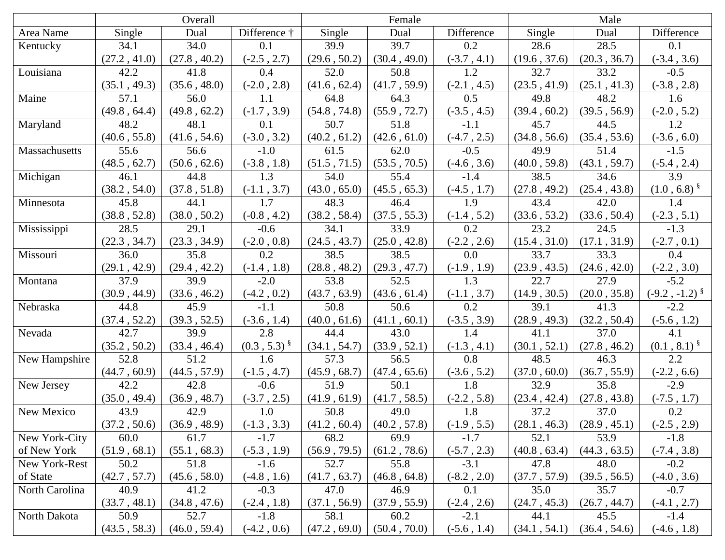|                | Overall      |              |                  |              | Female       |               | Male         |              |                    |
|----------------|--------------|--------------|------------------|--------------|--------------|---------------|--------------|--------------|--------------------|
| Area Name      | Single       | Dual         | Difference †     | Single       | Dual         | Difference    | Single       | Dual         | Difference         |
| Kentucky       | 34.1         | 34.0         | 0.1              | 39.9         | 39.7         | 0.2           | 28.6         | 28.5         | 0.1                |
|                | (27.2, 41.0) | (27.8, 40.2) | $(-2.5, 2.7)$    | (29.6, 50.2) | (30.4, 49.0) | $(-3.7, 4.1)$ | (19.6, 37.6) | (20.3, 36.7) | $(-3.4, 3.6)$      |
| Louisiana      | 42.2         | 41.8         | 0.4              | 52.0         | 50.8         | 1.2           | 32.7         | 33.2         | $-0.5$             |
|                | (35.1, 49.3) | (35.6, 48.0) | $(-2.0, 2.8)$    | (41.6, 62.4) | (41.7, 59.9) | $(-2.1, 4.5)$ | (23.5, 41.9) | (25.1, 41.3) | $(-3.8, 2.8)$      |
| Maine          | 57.1         | 56.0         | 1.1              | 64.8         | 64.3         | 0.5           | 49.8         | 48.2         | 1.6                |
|                | (49.8, 64.4) | (49.8, 62.2) | $(-1.7, 3.9)$    | (54.8, 74.8) | (55.9, 72.7) | $(-3.5, 4.5)$ | (39.4, 60.2) | (39.5, 56.9) | $(-2.0, 5.2)$      |
| Maryland       | 48.2         | 48.1         | 0.1              | 50.7         | 51.8         | $-1.1$        | 45.7         | 44.5         | 1.2                |
|                | (40.6, 55.8) | (41.6, 54.6) | $(-3.0, 3.2)$    | (40.2, 61.2) | (42.6, 61.0) | $(-4.7, 2.5)$ | (34.8, 56.6) | (35.4, 53.6) | $(-3.6, 6.0)$      |
| Massachusetts  | 55.6         | 56.6         | $-1.0$           | 61.5         | 62.0         | $-0.5$        | 49.9         | 51.4         | $-1.5$             |
|                | (48.5, 62.7) | (50.6, 62.6) | $(-3.8, 1.8)$    | (51.5, 71.5) | (53.5, 70.5) | $(-4.6, 3.6)$ | (40.0, 59.8) | (43.1, 59.7) | $(-5.4, 2.4)$      |
| Michigan       | 46.1         | 44.8         | 1.3              | 54.0         | 55.4         | $-1.4$        | 38.5         | 34.6         | 3.9                |
|                | (38.2, 54.0) | (37.8, 51.8) | $(-1.1, 3.7)$    | (43.0, 65.0) | (45.5, 65.3) | $(-4.5, 1.7)$ | (27.8, 49.2) | (25.4, 43.8) | $(1.0, 6.8)^{8}$   |
| Minnesota      | 45.8         | 44.1         | 1.7              | 48.3         | 46.4         | 1.9           | 43.4         | 42.0         | 1.4                |
|                | (38.8, 52.8) | (38.0, 50.2) | $(-0.8, 4.2)$    | (38.2, 58.4) | (37.5, 55.3) | $(-1.4, 5.2)$ | (33.6, 53.2) | (33.6, 50.4) | $(-2.3, 5.1)$      |
| Mississippi    | 28.5         | 29.1         | $-0.6$           | 34.1         | 33.9         | 0.2           | 23.2         | 24.5         | $-1.3$             |
|                | (22.3, 34.7) | (23.3, 34.9) | $(-2.0, 0.8)$    | (24.5, 43.7) | (25.0, 42.8) | $(-2.2, 2.6)$ | (15.4, 31.0) | (17.1, 31.9) | $(-2.7, 0.1)$      |
| Missouri       | 36.0         | 35.8         | 0.2              | 38.5         | 38.5         | 0.0           | 33.7         | 33.3         | 0.4                |
|                | (29.1, 42.9) | (29.4, 42.2) | $(-1.4, 1.8)$    | (28.8, 48.2) | (29.3, 47.7) | $(-1.9, 1.9)$ | (23.9, 43.5) | (24.6, 42.0) | $(-2.2, 3.0)$      |
| Montana        | 37.9         | 39.9         | $-2.0$           | 53.8         | 52.5         | 1.3           | 22.7         | 27.9         | $-5.2$             |
|                | (30.9, 44.9) | (33.6, 46.2) | $(-4.2, 0.2)$    | (43.7, 63.9) | (43.6, 61.4) | $(-1.1, 3.7)$ | (14.9, 30.5) | (20.0, 35.8) | $(-9.2, -1.2)^{8}$ |
| Nebraska       | 44.8         | 45.9         | $-1.1$           | 50.8         | 50.6         | 0.2           | 39.1         | 41.3         | $-2.2$             |
|                | (37.4, 52.2) | (39.3, 52.5) | $(-3.6, 1.4)$    | (40.0, 61.6) | (41.1, 60.1) | $(-3.5, 3.9)$ | (28.9, 49.3) | (32.2, 50.4) | $(-5.6, 1.2)$      |
| Nevada         | 42.7         | 39.9         | 2.8              | 44.4         | 43.0         | 1.4           | 41.1         | 37.0         | 4.1                |
|                | (35.2, 50.2) | (33.4, 46.4) | $(0.3, 5.3)^{8}$ | (34.1, 54.7) | (33.9, 52.1) | $(-1.3, 4.1)$ | (30.1, 52.1) | (27.8, 46.2) | $(0.1, 8.1)^{8}$   |
| New Hampshire  | 52.8         | 51.2         | 1.6              | 57.3         | 56.5         | 0.8           | 48.5         | 46.3         | 2.2                |
|                | (44.7, 60.9) | (44.5, 57.9) | $(-1.5, 4.7)$    | (45.9, 68.7) | (47.4, 65.6) | $(-3.6, 5.2)$ | (37.0, 60.0) | (36.7, 55.9) | $(-2.2, 6.6)$      |
| New Jersey     | 42.2         | 42.8         | $-0.6$           | 51.9         | 50.1         | 1.8           | 32.9         | 35.8         | $-2.9$             |
|                | (35.0, 49.4) | (36.9, 48.7) | $(-3.7, 2.5)$    | (41.9, 61.9) | (41.7, 58.5) | $(-2.2, 5.8)$ | (23.4, 42.4) | (27.8, 43.8) | $(-7.5, 1.7)$      |
| New Mexico     | 43.9         | 42.9         | 1.0              | 50.8         | 49.0         | 1.8           | 37.2         | 37.0         | 0.2                |
|                | (37.2, 50.6) | (36.9, 48.9) | $(-1.3, 3.3)$    | (41.2, 60.4) | (40.2, 57.8) | $(-1.9, 5.5)$ | (28.1, 46.3) | (28.9, 45.1) | $(-2.5, 2.9)$      |
| New York-City  | 60.0         | 61.7         | $-1.7$           | 68.2         | 69.9         | $-1.7$        | 52.1         | 53.9         | $-1.8$             |
| of New York    | (51.9, 68.1) | (55.1, 68.3) | $(-5.3, 1.9)$    | (56.9, 79.5) | (61.2, 78.6) | $(-5.7, 2.3)$ | (40.8, 63.4) | (44.3, 63.5) | $(-7.4, 3.8)$      |
| New York-Rest  | 50.2         | 51.8         | $-1.6$           | 52.7         | 55.8         | $-3.1$        | 47.8         | 48.0         | $-0.2$             |
| of State       | (42.7, 57.7) | (45.6, 58.0) | $(-4.8, 1.6)$    | (41.7, 63.7) | (46.8, 64.8) | $(-8.2, 2.0)$ | (37.7, 57.9) | (39.5, 56.5) | $(-4.0, 3.6)$      |
| North Carolina | 40.9         | 41.2         | $-0.3$           | 47.0         | 46.9         | 0.1           | 35.0         | 35.7         | $-0.7$             |
|                | (33.7, 48.1) | (34.8, 47.6) | $(-2.4, 1.8)$    | (37.1, 56.9) | (37.9, 55.9) | $(-2.4, 2.6)$ | (24.7, 45.3) | (26.7, 44.7) | $(-4.1, 2.7)$      |
| North Dakota   | 50.9         | 52.7         | $-1.8$           | 58.1         | 60.2         | $-2.1$        | 44.1         | 45.5         | $-1.4$             |
|                | (43.5, 58.3) | (46.0, 59.4) | $(-4.2, 0.6)$    | (47.2, 69.0) | (50.4, 70.0) | $(-5.6, 1.4)$ | (34.1, 54.1) | (36.4, 54.6) | $(-4.6, 1.8)$      |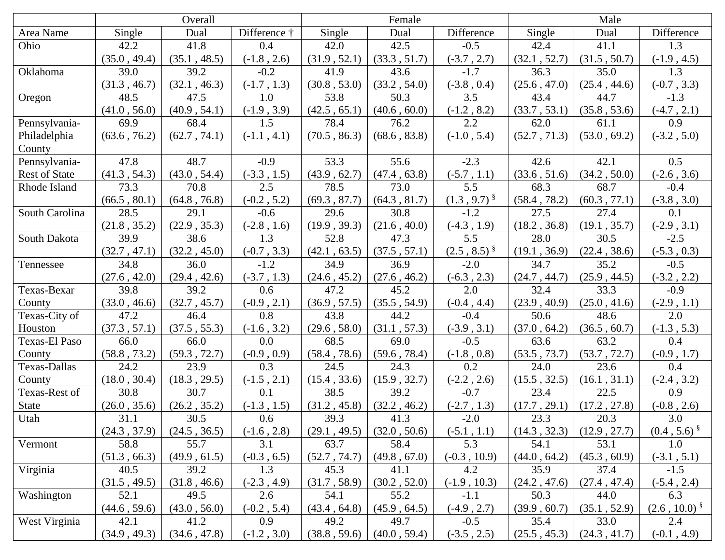|                      | Overall      |              |               | Female       |              |                  | Male         |              |                   |
|----------------------|--------------|--------------|---------------|--------------|--------------|------------------|--------------|--------------|-------------------|
| Area Name            | Single       | Dual         | Difference †  | Single       | Dual         | Difference       | Single       | Dual         | Difference        |
| Ohio                 | 42.2         | 41.8         | 0.4           | 42.0         | 42.5         | $-0.5$           | 42.4         | 41.1         | 1.3               |
|                      | (35.0, 49.4) | (35.1, 48.5) | $(-1.8, 2.6)$ | (31.9, 52.1) | (33.3, 51.7) | $(-3.7, 2.7)$    | (32.1, 52.7) | (31.5, 50.7) | $(-1.9, 4.5)$     |
| Oklahoma             | 39.0         | 39.2         | $-0.2$        | 41.9         | 43.6         | $-1.7$           | 36.3         | 35.0         | 1.3               |
|                      | (31.3, 46.7) | (32.1, 46.3) | $(-1.7, 1.3)$ | (30.8, 53.0) | (33.2, 54.0) | $(-3.8, 0.4)$    | (25.6, 47.0) | (25.4, 44.6) | $(-0.7, 3.3)$     |
| Oregon               | 48.5         | 47.5         | 1.0           | 53.8         | 50.3         | 3.5              | 43.4         | 44.7         | $-1.3$            |
|                      | (41.0, 56.0) | (40.9, 54.1) | $(-1.9, 3.9)$ | (42.5, 65.1) | (40.6, 60.0) | $(-1.2, 8.2)$    | (33.7, 53.1) | (35.8, 53.6) | $(-4.7, 2.1)$     |
| Pennsylvania-        | 69.9         | 68.4         | 1.5           | 78.4         | 76.2         | 2.2              | 62.0         | 61.1         | 0.9               |
| Philadelphia         | (63.6, 76.2) | (62.7, 74.1) | $(-1.1, 4.1)$ | (70.5, 86.3) | (68.6, 83.8) | $(-1.0, 5.4)$    | (52.7, 71.3) | (53.0, 69.2) | $(-3.2, 5.0)$     |
| County               |              |              |               |              |              |                  |              |              |                   |
| Pennsylvania-        | 47.8         | 48.7         | $-0.9$        | 53.3         | 55.6         | $-2.3$           | 42.6         | 42.1         | 0.5               |
| <b>Rest of State</b> | (41.3, 54.3) | (43.0, 54.4) | $(-3.3, 1.5)$ | (43.9, 62.7) | (47.4, 63.8) | $(-5.7, 1.1)$    | (33.6, 51.6) | (34.2, 50.0) | $(-2.6, 3.6)$     |
| Rhode Island         | 73.3         | 70.8         | 2.5           | 78.5         | 73.0         | 5.5              | 68.3         | 68.7         | $-0.4$            |
|                      | (66.5, 80.1) | (64.8, 76.8) | $(-0.2, 5.2)$ | (69.3, 87.7) | (64.3, 81.7) | $(1.3, 9.7)^{8}$ | (58.4, 78.2) | (60.3, 77.1) | $(-3.8, 3.0)$     |
| South Carolina       | 28.5         | 29.1         | $-0.6$        | 29.6         | 30.8         | $-1.2$           | 27.5         | 27.4         | 0.1               |
|                      | (21.8, 35.2) | (22.9, 35.3) | $(-2.8, 1.6)$ | (19.9, 39.3) | (21.6, 40.0) | $(-4.3, 1.9)$    | (18.2, 36.8) | (19.1, 35.7) | $(-2.9, 3.1)$     |
| South Dakota         | 39.9         | 38.6         | 1.3           | 52.8         | 47.3         | 5.5              | 28.0         | 30.5         | $-2.5$            |
|                      | (32.7, 47.1) | (32.2, 45.0) | $(-0.7, 3.3)$ | (42.1, 63.5) | (37.5, 57.1) | $(2.5, 8.5)^{8}$ | (19.1, 36.9) | (22.4, 38.6) | $(-5.3, 0.3)$     |
| Tennessee            | 34.8         | 36.0         | $-1.2$        | 34.9         | 36.9         | $-2.0$           | 34.7         | 35.2         | $-0.5$            |
|                      | (27.6, 42.0) | (29.4, 42.6) | $(-3.7, 1.3)$ | (24.6, 45.2) | (27.6, 46.2) | $(-6.3, 2.3)$    | (24.7, 44.7) | (25.9, 44.5) | $(-3.2, 2.2)$     |
| Texas-Bexar          | 39.8         | 39.2         | 0.6           | 47.2         | 45.2         | 2.0              | 32.4         | 33.3         | $-0.9$            |
| County               | (33.0, 46.6) | (32.7, 45.7) | $(-0.9, 2.1)$ | (36.9, 57.5) | (35.5, 54.9) | $(-0.4, 4.4)$    | (23.9, 40.9) | (25.0, 41.6) | $(-2.9, 1.1)$     |
| Texas-City of        | 47.2         | 46.4         | 0.8           | 43.8         | 44.2         | $-0.4$           | 50.6         | 48.6         | 2.0               |
| Houston              | (37.3, 57.1) | (37.5, 55.3) | $(-1.6, 3.2)$ | (29.6, 58.0) | (31.1, 57.3) | $(-3.9, 3.1)$    | (37.0, 64.2) | (36.5, 60.7) | $(-1.3, 5.3)$     |
| Texas-El Paso        | 66.0         | 66.0         | 0.0           | 68.5         | 69.0         | $-0.5$           | 63.6         | 63.2         | 0.4               |
| County               | (58.8, 73.2) | (59.3, 72.7) | $(-0.9, 0.9)$ | (58.4, 78.6) | (59.6, 78.4) | $(-1.8, 0.8)$    | (53.5, 73.7) | (53.7, 72.7) | $(-0.9, 1.7)$     |
| Texas-Dallas         | 24.2         | 23.9         | 0.3           | 24.5         | 24.3         | 0.2              | 24.0         | 23.6         | 0.4               |
| County               | (18.0, 30.4) | (18.3, 29.5) | $(-1.5, 2.1)$ | (15.4, 33.6) | (15.9, 32.7) | $(-2.2, 2.6)$    | (15.5, 32.5) | (16.1, 31.1) | $(-2.4, 3.2)$     |
| Texas-Rest of        | 30.8         | 30.7         | 0.1           | 38.5         | 39.2         | $-0.7$           | 23.4         | 22.5         | 0.9               |
| <b>State</b>         | (26.0, 35.6) | (26.2, 35.2) | $(-1.3, 1.5)$ | (31.2, 45.8) | (32.2, 46.2) | $(-2.7, 1.3)$    | (17.7, 29.1) | (17.2, 27.8) | $(-0.8, 2.6)$     |
| Utah                 | 31.1         | 30.5         | 0.6           | 39.3         | 41.3         | $-2.0$           | 23.3         | 20.3         | 3.0               |
|                      | (24.3, 37.9) | (24.5, 36.5) | $(-1.6, 2.8)$ | (29.1, 49.5) | (32.0, 50.6) | $(-5.1, 1.1)$    | (14.3, 32.3) | (12.9, 27.7) | $(0.4, 5.6)^{8}$  |
| Vermont              | 58.8         | 55.7         | 3.1           | 63.7         | 58.4         | 5.3              | 54.1         | 53.1         | 1.0               |
|                      | (51.3, 66.3) | (49.9, 61.5) | $(-0.3, 6.5)$ | (52.7, 74.7) | (49.8, 67.0) | $(-0.3, 10.9)$   | (44.0, 64.2) | (45.3, 60.9) | $(-3.1, 5.1)$     |
| Virginia             | 40.5         | 39.2         | 1.3           | 45.3         | 41.1         | 4.2              | 35.9         | 37.4         | $-1.5$            |
|                      | (31.5, 49.5) | (31.8, 46.6) | $(-2.3, 4.9)$ | (31.7, 58.9) | (30.2, 52.0) | $(-1.9, 10.3)$   | (24.2, 47.6) | (27.4, 47.4) | $(-5.4, 2.4)$     |
| Washington           | 52.1         | 49.5         | 2.6           | 54.1         | 55.2         | $-1.1$           | 50.3         | 44.0         | 6.3               |
|                      | (44.6, 59.6) | (43.0, 56.0) | $(-0.2, 5.4)$ | (43.4, 64.8) | (45.9, 64.5) | $(-4.9, 2.7)$    | (39.9, 60.7) | (35.1, 52.9) | $(2.6, 10.0)^{8}$ |
| West Virginia        | 42.1         | 41.2         | 0.9           | 49.2         | 49.7         | $-0.5$           | 35.4         | 33.0         | 2.4               |
|                      | (34.9, 49.3) | (34.6, 47.8) | $(-1.2, 3.0)$ | (38.8, 59.6) | (40.0, 59.4) | $(-3.5, 2.5)$    | (25.5, 45.3) | (24.3, 41.7) | $(-0.1, 4.9)$     |